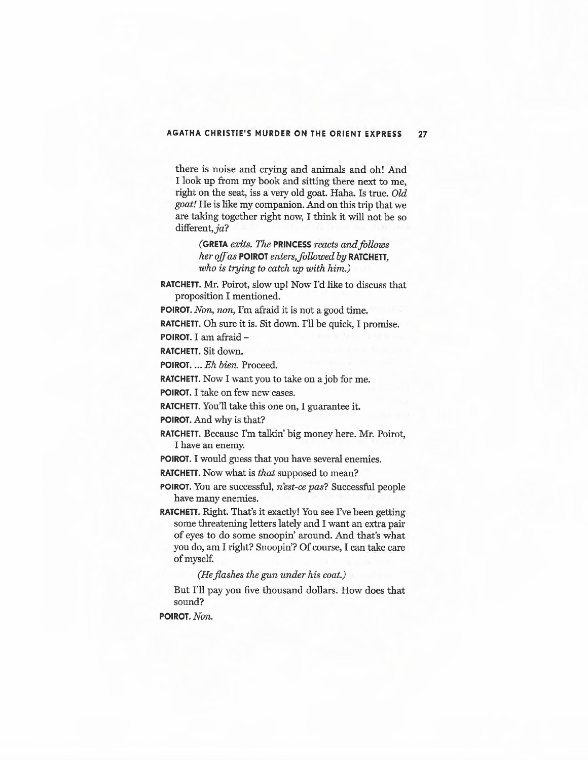## **AGATHA CHRISTIE'S MURDER ON THE ORIENT EXPRESS 27**

there is noise and crying and animals and oh! And I look up from my book and sitting there next to me, right on the seat, iss a very old goat. Haha. Is true. *Old goat!* He is like my companion. And on this trip that we are taking together right now, I think it will not be so different, ja?

> **(GRETA** *exits. The* **PRINCESS** *reacts and follows her off as POIROT enters, followed by RATCHETT, who is trying to catch up with him.)*

**RATCHETT.** Mr. Poirot, slow up! Now I'd like to discuss that proposition I mentioned.

**POIROT.** *Non, non,* I'm afraid it is not a good time.

**RATCHETT.** Oh sure it is. Sit down. I'll be quick, I promise. **POIROT.** I am afraid-

**RATCHETT.** Sit down.

**POIROT ....** *Eh bien.* Proceed.

**RATCHETT.** Now I want you to take on a job for me.

**POIROT.** I take on few new cases.

**RATCHETT.** You'll take this one on, I guarantee it.

**POIROT.** And why is that?

RATCHETT. Because I'm talkin' big money here. Mr. Poirot, I have an enemy.

**POIROT.** I would guess that you have several enemies.

**RATCHETT.** Now what is *that* supposed to mean?

**POIROT.** You are successful, *n'est-ce pas?* Successful people have many enemies.

**RATCHETT.** Right. That's it exactly! You see I've been getting some threatening letters lately and I want an extra pair of eyes to do some snoopin' around. And that's what you do, am I right? Snoopin'? Of course, I can take care of myself.

*(He flashes the gun under his coat.)* 

But I'll pay you five thousand dollars. How does that sound?

**POIROT.** *Non.*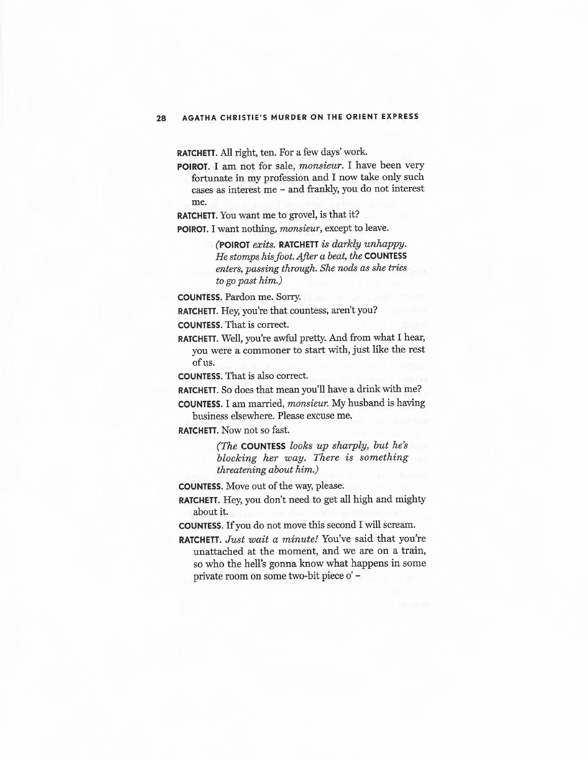**RATCHETT.** All right, ten. For a few days' work.

**POIROT.** I am not for sale, *monsieur.* I have been very fortunate in my profession and I now take only such cases as interest me - and frankly, you do not interest me.

**RATCHETT.** You want me to grovel, is that it?

**POIROT.** I want nothing, *monsieur,* except to leave.

**(POIROT** *exits.* **RATCHETT** *is darkly unhappy. He stomps his foot.After a beat, the* **COUNTESS**  *enters, passing through. She nods as she tries to go past him.)* 

**COUNTESS.** Pardon me. Sorry.

**RATCHETT.** Hey, you're that countess, aren't you?

**COUNTESS.** That is correct.

**RATCHETT.** Well, you're awful pretty. And from what I hear, you were a commoner to start with, just like the rest ofus.

**COUNTESS.** That is also correct.

**RATCHETT.** So does that mean you'll have a drink with me?

**COUNTESS.** I am married, *monsieur.* My husband is having business elsewhere. Please excuse me.

**RATCHETT.** Now not so fast.

*(The* **COUNTESS** *looks up sharply, but he's blocking her way. There is something threatening about him.)* 

**COUNTESS.** Move out of the way, please.

**RATCHETT.** Hey, you don't need to get all high and mighty about it.

**COUNTESS.** If you do not move this second I will scream.

**RATCHETT.** *Just wait a minute!* You've said that you're unattached at the moment, and we are on a train, so who the hell's gonna know what happens in some private room on some two-bit piece o' -